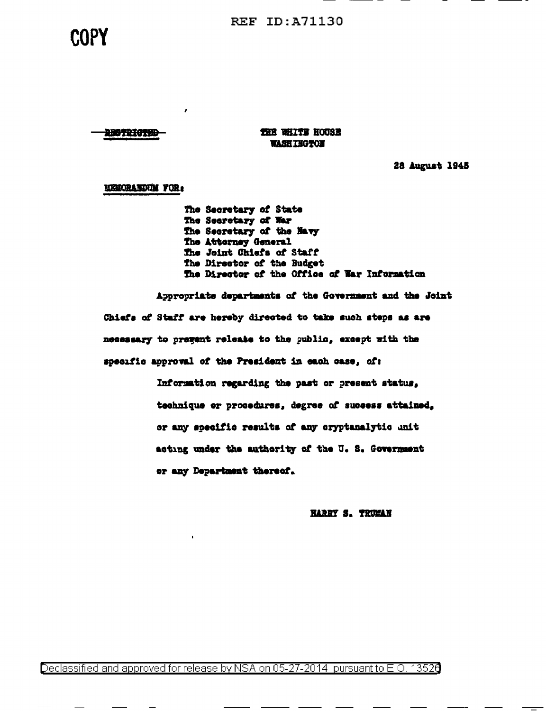**REF ID: A71130** 

# COPY

**THE WHITE HOUSE WASHINGTON** 

28 August 1945

**USICRATIVIM FOR:** 

110711475D

×

The Secretary of State The Secretary of War The Secretary of the Navy The Attorney General The Joint Chiefs of Staff The Director of the Budget The Director of the Office of War Information

Appropriate departments of the Government and the Joint Chiefs of Staff are hereby directed to take such steps as are necessary to pregent release to the public, except with the specific approval of the President in each case, of:

> Information regarding the past or present status, technique or procedures, degree of success attained. or any specific results of any cryptanalytic unit acting under the authority of the U.S. Government or any Department thereof.

> > **HARRY S. TRUMAN**

Declassified and approved for release by NSA on 05-27-2014 pursuant to E.O. 13526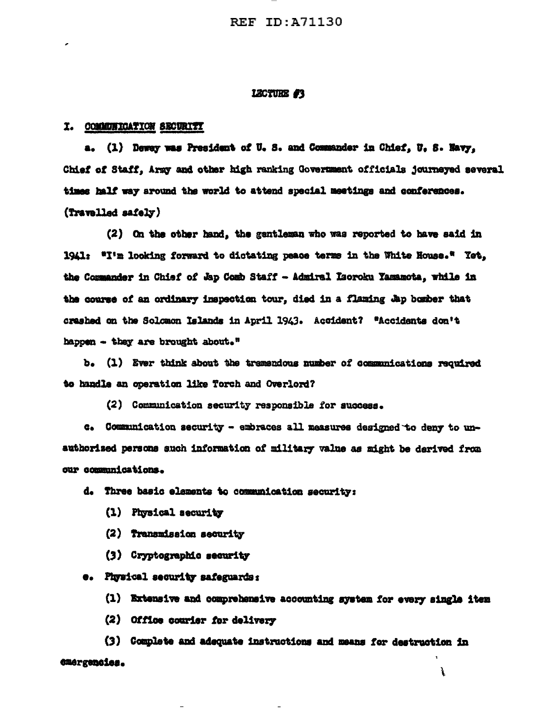#### LECTURE #3

#### I. COMMUNICATION SECURITY

a. (1) Deway was President of U.S. and Commander in Chief, U.S. Navy, Chief of Staff, Army and other high ranking Government officials journeyed several times half way around the world to attend special meetings and conferences. (Travelled safely)

(2) On the other hand, the gentleman who was reported to have said in 1941: "I'm looking forward to dictating peace terms in the White House." Yet. the Commander in Chief of Jap Comb Staff - Admiral Laoroku Yamamota, while in the course of an ordinary inspection tour, died in a flaming Jap bomber that crashed on the Solomon Islands in April 1943. Accident? "Accidents don't happen - they are brought about."

b. (1) Ever think about the tramendous number of communications required to handle an operation like Torch and Overlord?

(2) Communication security responsible for success.

c. Communication security - embraces all measures designed to deny to unauthorized persons such information of military value as might be derived from our communications.

d. Three basic elements to communication security:

- (1) Physical security
- (2) Transmission security
- (3) Cryptographic security

e. Physical security safeguards:

(1) Extensive and comprehensive accounting system for every single item

(2) Office courier for delivery

(3) Complete and adequate instructions and means for destruction in emergencies. ì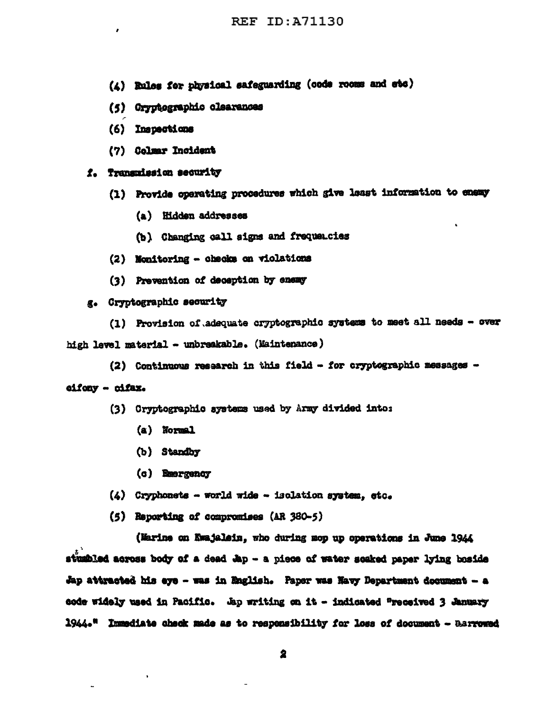- (4) Rules for physical safeguarding (code rooms and etc)
- (5) Cryptographic clearances
- (6) Inspections
- (7) Colmar Incident

## f. Transmission security

- (1) Provide operating procedures which give least information to enemy
	- (a) Hidden addresses
	- (b) Changing call signs and frequencies
- (2) Nonitoring checks on violations
- (3) Prevention of deception by enemy

## g. Cryptographic security

(1) Provision of adequate cryptographic systems to meet all needs - over high level material - unbreakable. (Maintenance)

(2) Continuous research in this field - for cryptographic messages -

## eifony - cifax.

- (3) Cryptographic systems used by Army divided into:
	- (a) Normal
	- (b) Standby
	- (c) Emergency
- $(4)$  Cryphonets world wide isolation system, etc.
- (5) Reporting of compromises (AR 380-5)

(Marine on Kwajalein, who during mop up operations in June 1944 stumbled across body of a dead Jap - a piece of water scaked paper lying boside Jap attracted his eye - was in English. Paper was Navy Department document - a code widely used in Pacific. Ap writing on it - indicated "received 3 January 1944." Immediate check made as to responsibility for loss of document - Barrowed